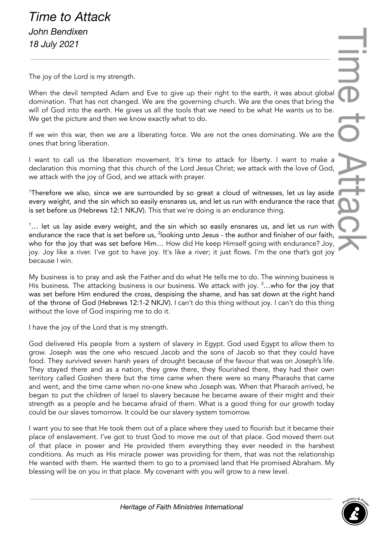The joy of the Lord is my strength.

When the devil tempted Adam and Eve to give up their right to the earth, it was about global domination. That has not changed. We are the governing church. We are the ones that bring the will of God into the earth. He gives us all the tools that we need to be what He wants us to be. We get the picture and then we know exactly what to do.

If we win this war, then we are a liberating force. We are not the ones dominating. We are the ones that bring liberation.

I want to call us the liberation movement. It's time to attack for liberty. I want to make a declaration this morning that this church of the Lord Jesus Christ; we attack with the love of God, we attack with the joy of God, and we attack with prayer.

<sup>1</sup>Therefore we also, since we are surrounded by so great a cloud of witnesses, let us lay aside every weight, and the sin which so easily ensnares us, and let us run with endurance the race that is set before us (Hebrews 12:1 NKJV). This that we're doing is an endurance thing.

 $1...$  let us lay aside every weight, and the sin which so easily ensnares us, and let us run with endurance the race that is set before us, <sup>2</sup>looking unto Jesus - the author and finisher of our faith, who for the joy that was set before Him… How did He keep Himself going with endurance? Joy, joy. Joy like a river. I've got to have joy. It's like a river; it just flows. I'm the one that's got joy because I win.

My business is to pray and ask the Father and do what He tells me to do. The winning business is His business. The attacking business is our business. We attack with joy. <sup>2</sup>...who for the joy that was set before Him endured the cross, despising the shame, and has sat down at the right hand of the throne of God (Hebrews 12:1-2 NKJV). I can't do this thing without joy. I can't do this thing without the love of God inspiring me to do it.

I have the joy of the Lord that is my strength.

God delivered His people from a system of slavery in Egypt. God used Egypt to allow them to grow. Joseph was the one who rescued Jacob and the sons of Jacob so that they could have food. They survived seven harsh years of drought because of the favour that was on Joseph's life. They stayed there and as a nation, they grew there, they flourished there, they had their own territory called Goshen there but the time came when there were so many Pharaohs that came and went, and the time came when no-one knew who Joseph was. When that Pharaoh arrived, he began to put the children of Israel to slavery because he became aware of their might and their strength as a people and he became afraid of them. What is a good thing for our growth today could be our slaves tomorrow. It could be our slavery system tomorrow.

I want you to see that He took them out of a place where they used to flourish but it became their place of enslavement. I've got to trust God to move me out of that place. God moved them out of that place in power and He provided them everything they ever needed in the harshest conditions. As much as His miracle power was providing for them, that was not the relationship He wanted with them. He wanted them to go to a promised land that He promised Abraham. My blessing will be on you in that place. My covenant with you will grow to a new level.

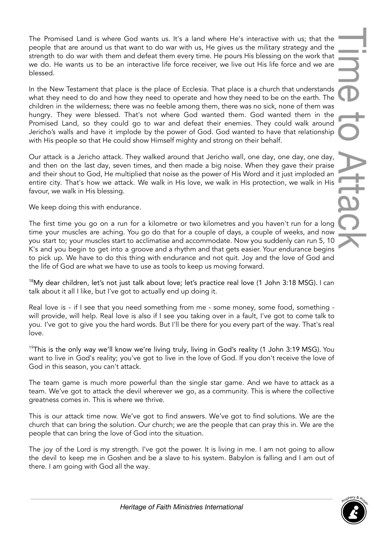The Promised Land is where God wants us. It's a land where He's interactive with us; that the people that are around us that want to do war with us, He gives us the military strategy and the strength to do war with them and defeat them every time. He pours His blessing on the work that we do. He wants us to be an interactive life force receiver, we live out His life force and we are blessed.

In the New Testament that place is the place of Ecclesia. That place is a church that understands what they need to do and how they need to operate and how they need to be on the earth. The children in the wilderness; there was no feeble among them, there was no sick, none of them was hungry. They were blessed. That's not where God wanted them. God wanted them in the Promised Land, so they could go to war and defeat their enemies. They could walk around Jericho's walls and have it implode by the power of God. God wanted to have that relationship with His people so that He could show Himself mighty and strong on their behalf.

Our attack is a Jericho attack. They walked around that Jericho wall, one day, one day, one day, and then on the last day, seven times, and then made a big noise. When they gave their praise and their shout to God, He multiplied that noise as the power of His Word and it just imploded an entire city. That's how we attack. We walk in His love, we walk in His protection, we walk in His favour, we walk in His blessing.

We keep doing this with endurance.

The first time you go on a run for a kilometre or two kilometres and you haven't run for a long time your muscles are aching. You go do that for a couple of days, a couple of weeks, and now you start to; your muscles start to acclimatise and accommodate. Now you suddenly can run 5, 10 K's and you begin to get into a groove and a rhythm and that gets easier. Your endurance begins to pick up. We have to do this thing with endurance and not quit. Joy and the love of God and the life of God are what we have to use as tools to keep us moving forward.

<sup>18</sup>My dear children, let's not just talk about love; let's practice real love (1 John 3:18 MSG). I can talk about it all I like, but I've got to actually end up doing it.

Real love is - if I see that you need something from me - some money, some food, something will provide, will help. Real love is also if I see you taking over in a fault, I've got to come talk to you. I've got to give you the hard words. But I'll be there for you every part of the way. That's real love.

 $19$ This is the only way we'll know we're living truly, living in God's reality (1 John 3:19 MSG). You want to live in God's reality; you've got to live in the love of God. If you don't receive the love of God in this season, you can't attack.

The team game is much more powerful than the single star game. And we have to attack as a team. We've got to attack the devil wherever we go, as a community. This is where the collective greatness comes in. This is where we thrive.

This is our attack time now. We've got to find answers. We've got to find solutions. We are the church that can bring the solution. Our church; we are the people that can pray this in. We are the people that can bring the love of God into the situation.

The joy of the Lord is my strength. I've got the power. It is living in me. I am not going to allow the devil to keep me in Goshen and be a slave to his system. Babylon is falling and I am out of there. I am going with God all the way.